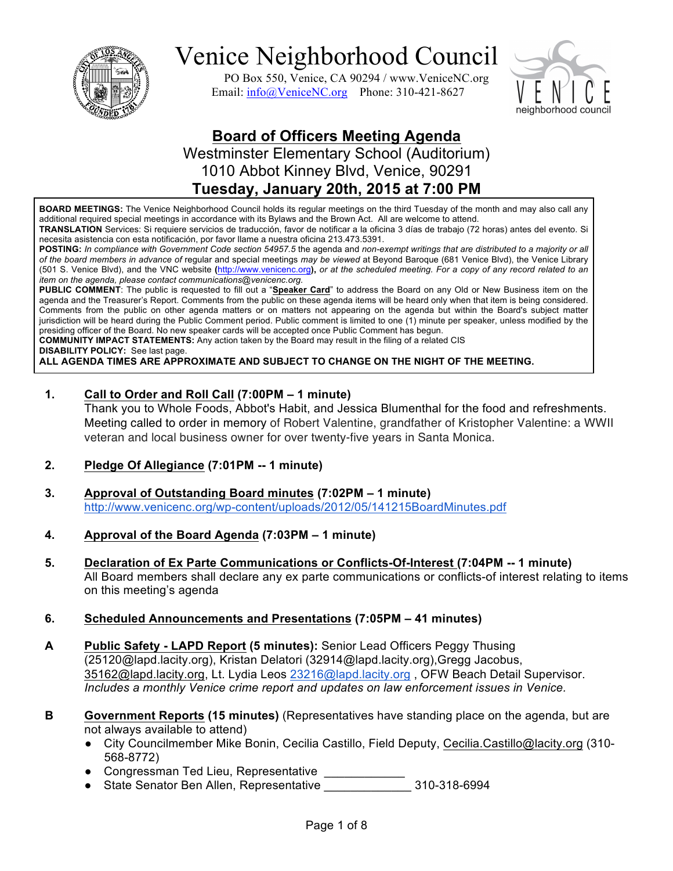

PO Box 550, Venice, CA 90294 / www.VeniceNC.org Email: info@VeniceNC.org Phone: 310-421-8627



### **Board of Officers Meeting Agenda**

Westminster Elementary School (Auditorium) 1010 Abbot Kinney Blvd, Venice, 90291

### **Tuesday, January 20th, 2015 at 7:00 PM**

**BOARD MEETINGS:** The Venice Neighborhood Council holds its regular meetings on the third Tuesday of the month and may also call any additional required special meetings in accordance with its Bylaws and the Brown Act. All are welcome to attend.

**TRANSLATION** Services: Si requiere servicios de traducción, favor de notificar a la oficina 3 días de trabajo (72 horas) antes del evento. Si necesita asistencia con esta notificación, por favor llame a nuestra oficina 213.473.5391.

**POSTING:** *In compliance with Government Code section 54957.5* the agenda and *non-exempt writings that are distributed to a majority or all of the board members in advance of* regular and special meetings *may be viewed* at Beyond Baroque (681 Venice Blvd), the Venice Library (501 S. Venice Blvd), and the VNC website **(**http://www.venicenc.org**),** *or at the scheduled meeting. For a copy of any record related to an item on the agenda, please contact communications@venicenc.org.*

**PUBLIC COMMENT**: The public is requested to fill out a "**Speaker Card**" to address the Board on any Old or New Business item on the agenda and the Treasurer's Report. Comments from the public on these agenda items will be heard only when that item is being considered. Comments from the public on other agenda matters or on matters not appearing on the agenda but within the Board's subject matter jurisdiction will be heard during the Public Comment period. Public comment is limited to one (1) minute per speaker, unless modified by the presiding officer of the Board. No new speaker cards will be accepted once Public Comment has begun.

**COMMUNITY IMPACT STATEMENTS:** Any action taken by the Board may result in the filing of a related CIS

**DISABILITY POLICY:** See last page.

**ALL AGENDA TIMES ARE APPROXIMATE AND SUBJECT TO CHANGE ON THE NIGHT OF THE MEETING.**

#### **1. Call to Order and Roll Call (7:00PM – 1 minute)**

Thank you to Whole Foods, Abbot's Habit, and Jessica Blumenthal for the food and refreshments. Meeting called to order in memory of Robert Valentine, grandfather of Kristopher Valentine: a WWII veteran and local business owner for over twenty-five years in Santa Monica.

#### **2. Pledge Of Allegiance (7:01PM -- 1 minute)**

- **3. Approval of Outstanding Board minutes (7:02PM – 1 minute)** http://www.venicenc.org/wp-content/uploads/2012/05/141215BoardMinutes.pdf
- **4. Approval of the Board Agenda (7:03PM – 1 minute)**
- **5. Declaration of Ex Parte Communications or Conflicts-Of-Interest (7:04PM -- 1 minute)**  All Board members shall declare any ex parte communications or conflicts-of interest relating to items on this meeting's agenda
- **6. Scheduled Announcements and Presentations (7:05PM – 41 minutes)**
- **A Public Safety - LAPD Report (5 minutes):** Senior Lead Officers Peggy Thusing (25120@lapd.lacity.org), Kristan Delatori (32914@lapd.lacity.org),Gregg Jacobus, 35162@lapd.lacity.org, Lt. Lydia Leos 23216@lapd.lacity.org , OFW Beach Detail Supervisor. *Includes a monthly Venice crime report and updates on law enforcement issues in Venice.*
- **B Government Reports (15 minutes)** (Representatives have standing place on the agenda, but are not always available to attend)
	- City Councilmember Mike Bonin, Cecilia Castillo, Field Deputy, Cecilia.Castillo@lacity.org (310- 568-8772)
	- Congressman Ted Lieu, Representative **construer**
	- State Senator Ben Allen, Representative \_\_\_\_\_\_\_\_\_\_\_\_\_ 310-318-6994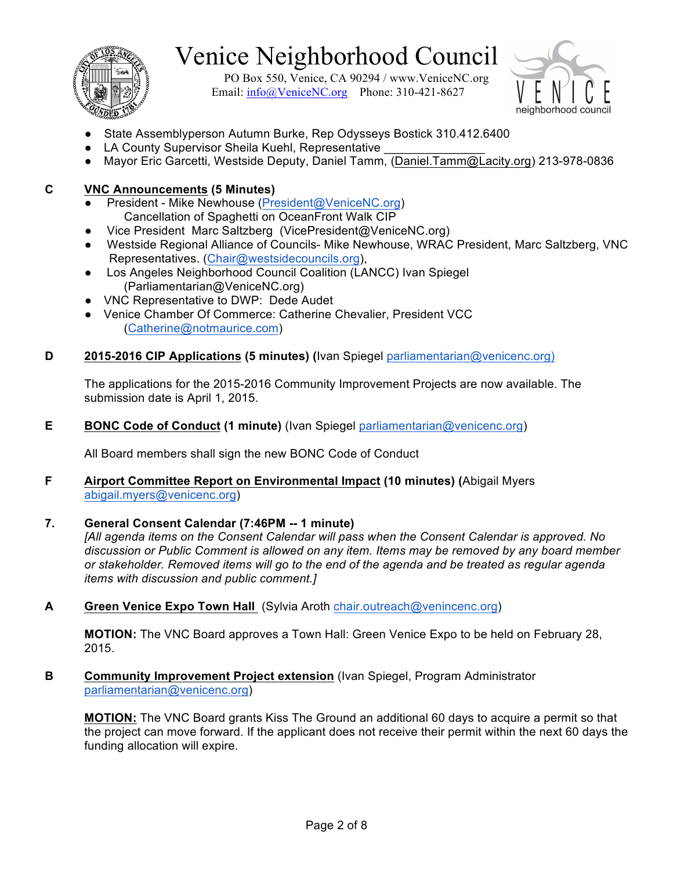

PO Box 550, Venice, CA 90294 / www.VeniceNC.org Email:  $info@V$ eniceNC.org Phone: 310-421-8627



- State Assemblyperson Autumn Burke, Rep Odysseys Bostick 310.412.6400
- LA County Supervisor Sheila Kuehl, Representative
- Mayor Eric Garcetti, Westside Deputy, Daniel Tamm, (Daniel.Tamm@Lacity.org) 213-978-0836

#### **C VNC Announcements (5 Minutes)**

- President Mike Newhouse (President@VeniceNC.org) Cancellation of Spaghetti on OceanFront Walk CIP
- Vice President Marc Saltzberg (VicePresident@VeniceNC.org)
- Westside Regional Alliance of Councils- Mike Newhouse, WRAC President, Marc Saltzberg, VNC Representatives. (Chair@westsidecouncils.org),
- Los Angeles Neighborhood Council Coalition (LANCC) Ivan Spiegel (Parliamentarian@VeniceNC.org)
- VNC Representative to DWP: Dede Audet
- Venice Chamber Of Commerce: Catherine Chevalier, President VCC (Catherine@notmaurice.com)

#### **D 2015-2016 CIP Applications (5 minutes) (**Ivan Spiegel parliamentarian@venicenc.org)

The applications for the 2015-2016 Community Improvement Projects are now available. The submission date is April 1, 2015.

#### **E BONC Code of Conduct (1 minute)** (Ivan Spiegel parliamentarian@venicenc.org)

All Board members shall sign the new BONC Code of Conduct

#### **F Airport Committee Report on Environmental Impact (10 minutes) (**Abigail Myers abigail.myers@venicenc.org)

#### **7. General Consent Calendar (7:46PM -- 1 minute)**

*[All agenda items on the Consent Calendar will pass when the Consent Calendar is approved. No discussion or Public Comment is allowed on any item. Items may be removed by any board member or stakeholder. Removed items will go to the end of the agenda and be treated as regular agenda items with discussion and public comment.]*

**A Green Venice Expo Town Hall** (Sylvia Aroth chair.outreach@venincenc.org)

**MOTION:** The VNC Board approves a Town Hall: Green Venice Expo to be held on February 28, 2015.

**B Community Improvement Project extension** (Ivan Spiegel, Program Administrator parliamentarian@venicenc.org)

**MOTION:** The VNC Board grants Kiss The Ground an additional 60 days to acquire a permit so that the project can move forward. If the applicant does not receive their permit within the next 60 days the funding allocation will expire.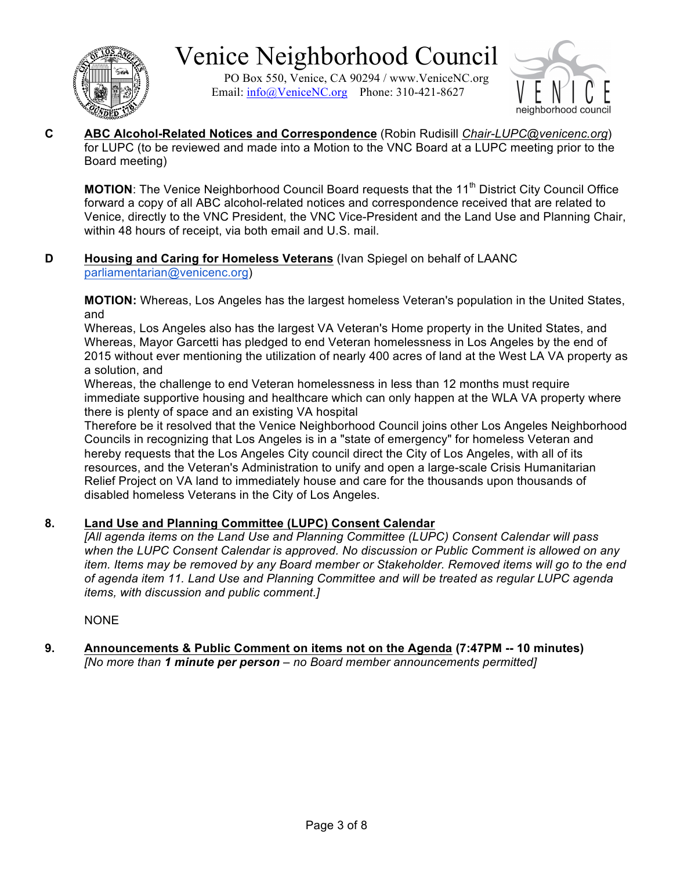

PO Box 550, Venice, CA 90294 / www.VeniceNC.org Email:  $info@V$ eniceNC.org Phone: 310-421-8627



**C ABC Alcohol-Related Notices and Correspondence** (Robin Rudisill *Chair-LUPC@venicenc.org*) for LUPC (to be reviewed and made into a Motion to the VNC Board at a LUPC meeting prior to the Board meeting)

**MOTION:** The Venice Neighborhood Council Board requests that the 11<sup>th</sup> District City Council Office forward a copy of all ABC alcohol-related notices and correspondence received that are related to Venice, directly to the VNC President, the VNC Vice-President and the Land Use and Planning Chair, within 48 hours of receipt, via both email and U.S. mail.

#### **D Housing and Caring for Homeless Veterans** (Ivan Spiegel on behalf of LAANC parliamentarian@venicenc.org)

**MOTION:** Whereas, Los Angeles has the largest homeless Veteran's population in the United States, and

Whereas, Los Angeles also has the largest VA Veteran's Home property in the United States, and Whereas, Mayor Garcetti has pledged to end Veteran homelessness in Los Angeles by the end of 2015 without ever mentioning the utilization of nearly 400 acres of land at the West LA VA property as a solution, and

Whereas, the challenge to end Veteran homelessness in less than 12 months must require immediate supportive housing and healthcare which can only happen at the WLA VA property where there is plenty of space and an existing VA hospital

Therefore be it resolved that the Venice Neighborhood Council joins other Los Angeles Neighborhood Councils in recognizing that Los Angeles is in a "state of emergency" for homeless Veteran and hereby requests that the Los Angeles City council direct the City of Los Angeles, with all of its resources, and the Veteran's Administration to unify and open a large-scale Crisis Humanitarian Relief Project on VA land to immediately house and care for the thousands upon thousands of disabled homeless Veterans in the City of Los Angeles.

#### **8. Land Use and Planning Committee (LUPC) Consent Calendar**

*[All agenda items on the Land Use and Planning Committee (LUPC) Consent Calendar will pass when the LUPC Consent Calendar is approved. No discussion or Public Comment is allowed on any item. Items may be removed by any Board member or Stakeholder. Removed items will go to the end of agenda item 11. Land Use and Planning Committee and will be treated as regular LUPC agenda items, with discussion and public comment.]*

NONE

#### **9. Announcements & Public Comment on items not on the Agenda (7:47PM -- 10 minutes)** *[No more than 1 minute per person – no Board member announcements permitted]*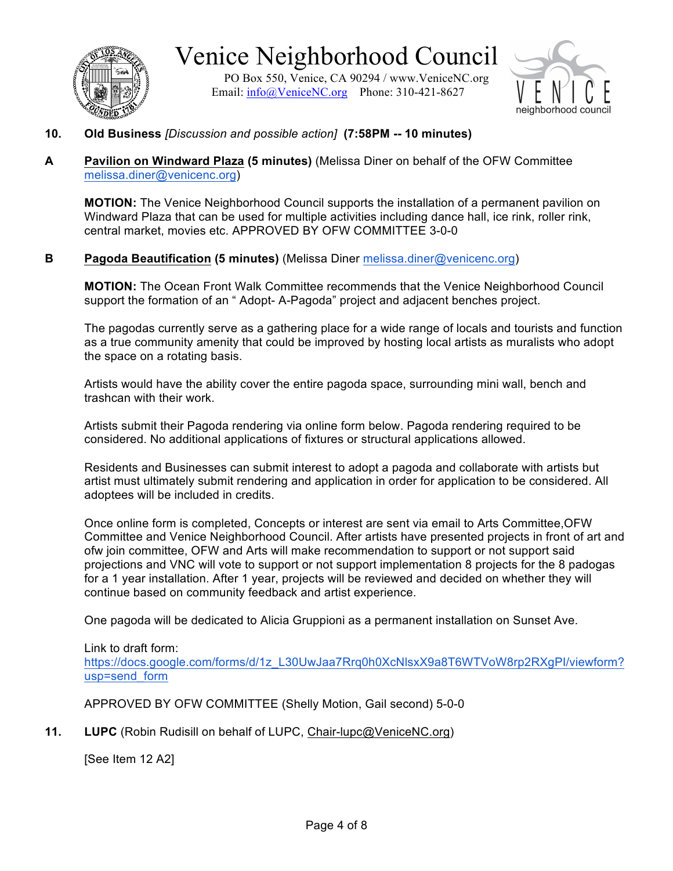

Venice Neighborhood Council PO Box 550, Venice, CA 90294 / www.VeniceNC.org

Email: info@VeniceNC.org Phone: 310-421-8627



- **10. Old Business** *[Discussion and possible action]* **(7:58PM -- 10 minutes)**
- **A Pavilion on Windward Plaza (5 minutes)** (Melissa Diner on behalf of the OFW Committee melissa.diner@venicenc.org)

**MOTION:** The Venice Neighborhood Council supports the installation of a permanent pavilion on Windward Plaza that can be used for multiple activities including dance hall, ice rink, roller rink, central market, movies etc. APPROVED BY OFW COMMITTEE 3-0-0

#### **B Pagoda Beautification (5 minutes)** (Melissa Diner melissa.diner@venicenc.org)

**MOTION:** The Ocean Front Walk Committee recommends that the Venice Neighborhood Council support the formation of an " Adopt- A-Pagoda" project and adjacent benches project.

The pagodas currently serve as a gathering place for a wide range of locals and tourists and function as a true community amenity that could be improved by hosting local artists as muralists who adopt the space on a rotating basis.

Artists would have the ability cover the entire pagoda space, surrounding mini wall, bench and trashcan with their work.

Artists submit their Pagoda rendering via online form below. Pagoda rendering required to be considered. No additional applications of fixtures or structural applications allowed.

Residents and Businesses can submit interest to adopt a pagoda and collaborate with artists but artist must ultimately submit rendering and application in order for application to be considered. All adoptees will be included in credits.

Once online form is completed, Concepts or interest are sent via email to Arts Committee,OFW Committee and Venice Neighborhood Council. After artists have presented projects in front of art and ofw join committee, OFW and Arts will make recommendation to support or not support said projections and VNC will vote to support or not support implementation 8 projects for the 8 padogas for a 1 year installation. After 1 year, projects will be reviewed and decided on whether they will continue based on community feedback and artist experience.

One pagoda will be dedicated to Alicia Gruppioni as a permanent installation on Sunset Ave.

Link to draft form: https://docs.google.com/forms/d/1z\_L30UwJaa7Rrq0h0XcNlsxX9a8T6WTVoW8rp2RXgPI/viewform? usp=send\_form

APPROVED BY OFW COMMITTEE (Shelly Motion, Gail second) 5-0-0

**11. LUPC** (Robin Rudisill on behalf of LUPC, Chair-lupc@VeniceNC.org)

[See Item 12 A2]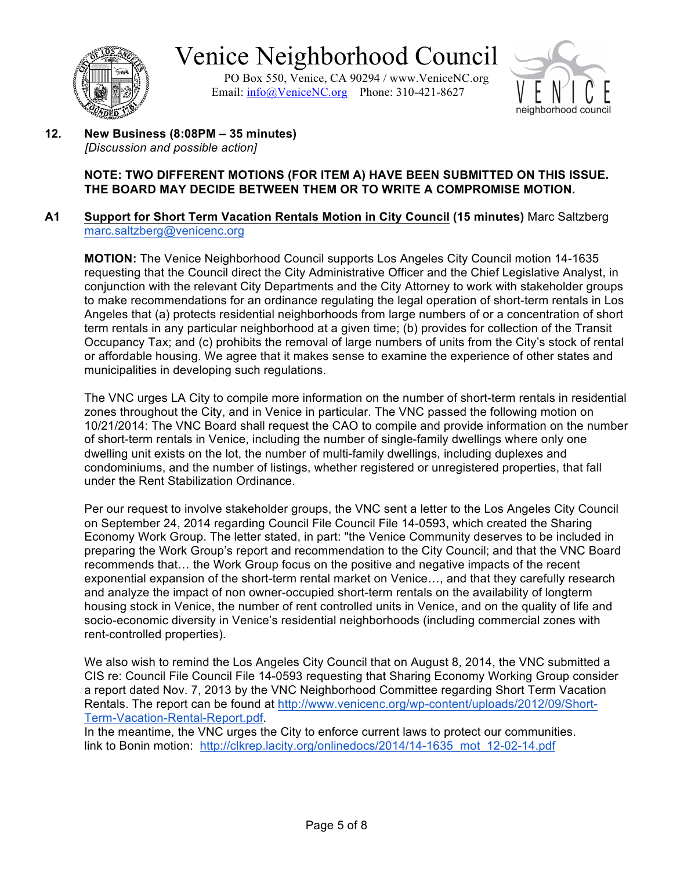

PO Box 550, Venice, CA 90294 / www.VeniceNC.org Email: info@VeniceNC.org Phone: 310-421-8627



**12. New Business (8:08PM – 35 minutes)** *[Discussion and possible action]*

#### **NOTE: TWO DIFFERENT MOTIONS (FOR ITEM A) HAVE BEEN SUBMITTED ON THIS ISSUE. THE BOARD MAY DECIDE BETWEEN THEM OR TO WRITE A COMPROMISE MOTION.**

#### **A1 Support for Short Term Vacation Rentals Motion in City Council (15 minutes)** Marc Saltzberg marc.saltzberg@venicenc.org

**MOTION:** The Venice Neighborhood Council supports Los Angeles City Council motion 14-1635 requesting that the Council direct the City Administrative Officer and the Chief Legislative Analyst, in conjunction with the relevant City Departments and the City Attorney to work with stakeholder groups to make recommendations for an ordinance regulating the legal operation of short-term rentals in Los Angeles that (a) protects residential neighborhoods from large numbers of or a concentration of short term rentals in any particular neighborhood at a given time; (b) provides for collection of the Transit Occupancy Tax; and (c) prohibits the removal of large numbers of units from the City's stock of rental or affordable housing. We agree that it makes sense to examine the experience of other states and municipalities in developing such regulations.

The VNC urges LA City to compile more information on the number of short-term rentals in residential zones throughout the City, and in Venice in particular. The VNC passed the following motion on 10/21/2014: The VNC Board shall request the CAO to compile and provide information on the number of short-term rentals in Venice, including the number of single-family dwellings where only one dwelling unit exists on the lot, the number of multi-family dwellings, including duplexes and condominiums, and the number of listings, whether registered or unregistered properties, that fall under the Rent Stabilization Ordinance.

Per our request to involve stakeholder groups, the VNC sent a letter to the Los Angeles City Council on September 24, 2014 regarding Council File Council File 14-0593, which created the Sharing Economy Work Group. The letter stated, in part: "the Venice Community deserves to be included in preparing the Work Group's report and recommendation to the City Council; and that the VNC Board recommends that… the Work Group focus on the positive and negative impacts of the recent exponential expansion of the short-term rental market on Venice…, and that they carefully research and analyze the impact of non owner-occupied short-term rentals on the availability of longterm housing stock in Venice, the number of rent controlled units in Venice, and on the quality of life and socio-economic diversity in Venice's residential neighborhoods (including commercial zones with rent-controlled properties).

We also wish to remind the Los Angeles City Council that on August 8, 2014, the VNC submitted a CIS re: Council File Council File 14-0593 requesting that Sharing Economy Working Group consider a report dated Nov. 7, 2013 by the VNC Neighborhood Committee regarding Short Term Vacation Rentals. The report can be found at http://www.venicenc.org/wp-content/uploads/2012/09/Short-Term-Vacation-Rental-Report.pdf.

In the meantime, the VNC urges the City to enforce current laws to protect our communities. link to Bonin motion: http://clkrep.lacity.org/onlinedocs/2014/14-1635 mot 12-02-14.pdf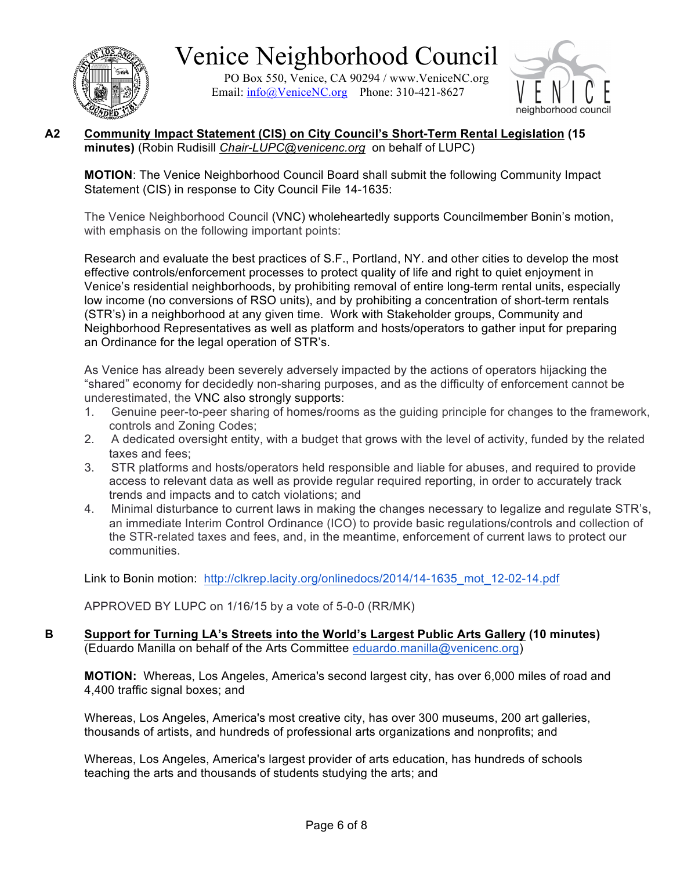

PO Box 550, Venice, CA 90294 / www.VeniceNC.org Email:  $info@V$ eniceNC.org Phone: 310-421-8627



#### **A2 Community Impact Statement (CIS) on City Council's Short-Term Rental Legislation (15 minutes)** (Robin Rudisill *Chair-LUPC@venicenc.org* on behalf of LUPC)

**MOTION**: The Venice Neighborhood Council Board shall submit the following Community Impact Statement (CIS) in response to City Council File 14-1635:

The Venice Neighborhood Council (VNC) wholeheartedly supports Councilmember Bonin's motion, with emphasis on the following important points:

Research and evaluate the best practices of S.F., Portland, NY. and other cities to develop the most effective controls/enforcement processes to protect quality of life and right to quiet enjoyment in Venice's residential neighborhoods, by prohibiting removal of entire long-term rental units, especially low income (no conversions of RSO units), and by prohibiting a concentration of short-term rentals (STR's) in a neighborhood at any given time. Work with Stakeholder groups, Community and Neighborhood Representatives as well as platform and hosts/operators to gather input for preparing an Ordinance for the legal operation of STR's.

As Venice has already been severely adversely impacted by the actions of operators hijacking the "shared" economy for decidedly non-sharing purposes, and as the difficulty of enforcement cannot be underestimated, the VNC also strongly supports:

- 1. Genuine peer-to-peer sharing of homes/rooms as the guiding principle for changes to the framework, controls and Zoning Codes;
- 2. A dedicated oversight entity, with a budget that grows with the level of activity, funded by the related taxes and fees;
- 3. STR platforms and hosts/operators held responsible and liable for abuses, and required to provide access to relevant data as well as provide regular required reporting, in order to accurately track trends and impacts and to catch violations; and
- 4. Minimal disturbance to current laws in making the changes necessary to legalize and regulate STR's, an immediate Interim Control Ordinance (ICO) to provide basic regulations/controls and collection of the STR-related taxes and fees, and, in the meantime, enforcement of current laws to protect our communities.

Link to Bonin motion: http://clkrep.lacity.org/onlinedocs/2014/14-1635\_mot\_12-02-14.pdf

APPROVED BY LUPC on 1/16/15 by a vote of 5-0-0 (RR/MK)

**B Support for Turning LA's Streets into the World's Largest Public Arts Gallery (10 minutes)**  (Eduardo Manilla on behalf of the Arts Committee eduardo.manilla@venicenc.org)

**MOTION:** Whereas, Los Angeles, America's second largest city, has over 6,000 miles of road and 4,400 traffic signal boxes; and

Whereas, Los Angeles, America's most creative city, has over 300 museums, 200 art galleries, thousands of artists, and hundreds of professional arts organizations and nonprofits; and

Whereas, Los Angeles, America's largest provider of arts education, has hundreds of schools teaching the arts and thousands of students studying the arts; and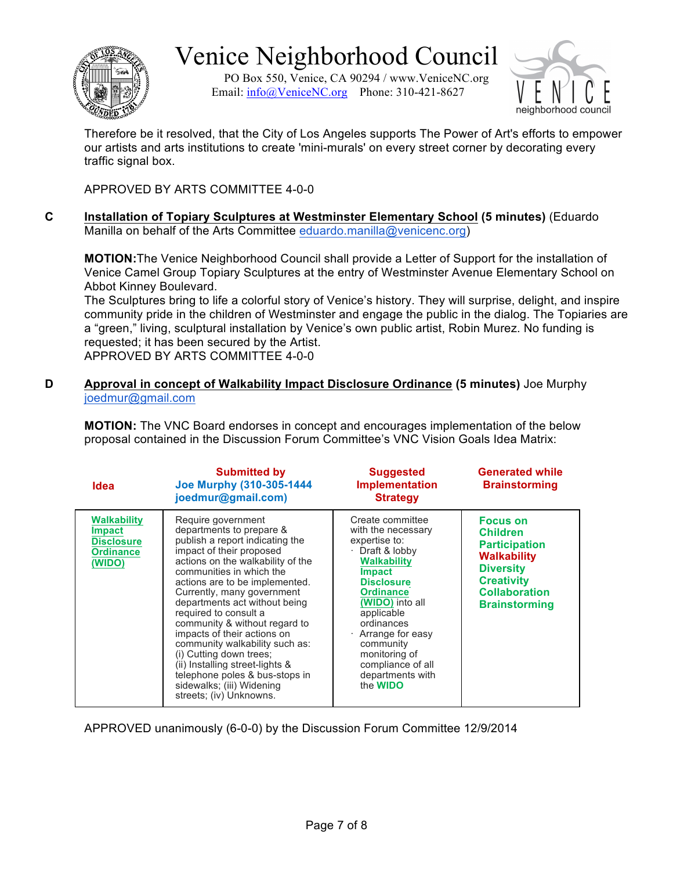

PO Box 550, Venice, CA 90294 / www.VeniceNC.org Email:  $info@V$ eniceNC.org Phone: 310-421-8627



Therefore be it resolved, that the City of Los Angeles supports The Power of Art's efforts to empower our artists and arts institutions to create 'mini-murals' on every street corner by decorating every traffic signal box.

APPROVED BY ARTS COMMITTEE 4-0-0

**C Installation of Topiary Sculptures at Westminster Elementary School (5 minutes)** (Eduardo Manilla on behalf of the Arts Committee eduardo.manilla@venicenc.org)

**MOTION:**The Venice Neighborhood Council shall provide a Letter of Support for the installation of Venice Camel Group Topiary Sculptures at the entry of Westminster Avenue Elementary School on Abbot Kinney Boulevard.

The Sculptures bring to life a colorful story of Venice's history. They will surprise, delight, and inspire community pride in the children of Westminster and engage the public in the dialog. The Topiaries are a "green," living, sculptural installation by Venice's own public artist, Robin Murez. No funding is requested; it has been secured by the Artist. APPROVED BY ARTS COMMITTEE 4-0-0

**D Approval in concept of Walkability Impact Disclosure Ordinance (5 minutes)** Joe Murphy joedmur@gmail.com

**MOTION:** The VNC Board endorses in concept and encourages implementation of the below proposal contained in the Discussion Forum Committee's VNC Vision Goals Idea Matrix:

| Idea                                                                                   | <b>Submitted by</b><br><b>Joe Murphy (310-305-1444</b><br>joedmur@gmail.com)                                                                                                                                                                                                                                                                                                                                                                                                                                                                                       | <b>Suggested</b><br><b>Implementation</b><br><b>Strategy</b>                                                                                                                                                                                                                                                          | <b>Generated while</b><br><b>Brainstorming</b>                                                                                                                     |
|----------------------------------------------------------------------------------------|--------------------------------------------------------------------------------------------------------------------------------------------------------------------------------------------------------------------------------------------------------------------------------------------------------------------------------------------------------------------------------------------------------------------------------------------------------------------------------------------------------------------------------------------------------------------|-----------------------------------------------------------------------------------------------------------------------------------------------------------------------------------------------------------------------------------------------------------------------------------------------------------------------|--------------------------------------------------------------------------------------------------------------------------------------------------------------------|
| <b>Walkability</b><br><b>Impact</b><br><b>Disclosure</b><br><b>Ordinance</b><br>(WIDO) | Require government<br>departments to prepare &<br>publish a report indicating the<br>impact of their proposed<br>actions on the walkability of the<br>communities in which the<br>actions are to be implemented.<br>Currently, many government<br>departments act without being<br>required to consult a<br>community & without regard to<br>impacts of their actions on<br>community walkability such as:<br>(i) Cutting down trees;<br>(ii) Installing street-lights &<br>telephone poles & bus-stops in<br>sidewalks; (iii) Widening<br>streets; (iv) Unknowns. | Create committee<br>with the necessary<br>expertise to:<br>Draft & lobby<br><b>Walkability</b><br><b>Impact</b><br><b>Disclosure</b><br><b>Ordinance</b><br>(WIDO) into all<br>applicable<br>ordinances<br>Arrange for easy<br>community<br>monitoring of<br>compliance of all<br>departments with<br>the <b>WIDO</b> | <b>Focus on</b><br><b>Children</b><br><b>Participation</b><br>Walkability<br><b>Diversity</b><br><b>Creativity</b><br><b>Collaboration</b><br><b>Brainstorming</b> |

APPROVED unanimously (6-0-0) by the Discussion Forum Committee 12/9/2014